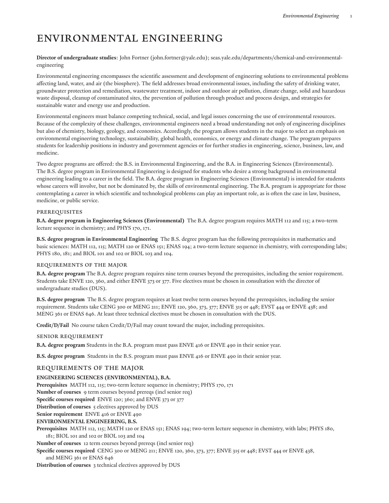# Environmental Engineering

**Director of undergraduate studies**: John [Fortner](mailto:john.fortner@yale.edu) [\(john.fortner@yale.edu](john.fortner@yale.edu)); [seas.yale.edu/departments/chemical-and-environmental](http://seas.yale.edu/departments/chemical-and-environmental-engineering/)[engineering](http://seas.yale.edu/departments/chemical-and-environmental-engineering/)

Environmental engineering encompasses the scientific assessment and development of engineering solutions to environmental problems affecting land, water, and air (the biosphere). The field addresses broad environmental issues, including the safety of drinking water, groundwater protection and remediation, wastewater treatment, indoor and outdoor air pollution, climate change, solid and hazardous waste disposal, cleanup of contaminated sites, the prevention of pollution through product and process design, and strategies for sustainable water and energy use and production.

Environmental engineers must balance competing technical, social, and legal issues concerning the use of environmental resources. Because of the complexity of these challenges, environmental engineers need a broad understanding not only of engineering disciplines but also of chemistry, biology, geology, and economics. Accordingly, the program allows students in the major to select an emphasis on environmental engineering technology, sustainability, global health, economics, or energy and climate change. The program prepares students for leadership positions in industry and government agencies or for further studies in engineering, science, business, law, and medicine.

Two degree programs are offered: the B.S. in Environmental Engineering, and the B.A. in Engineering Sciences (Environmental). The B.S. degree program in Environmental Engineering is designed for students who desire a strong background in environmental engineering leading to a career in the field. The B.A. degree program in Engineering Sciences (Environmental) is intended for students whose careers will involve, but not be dominated by, the skills of environmental engineering. The B.A. program is appropriate for those contemplating a career in which scientific and technological problems can play an important role, as is often the case in law, business, medicine, or public service.

## **PREREQUISITES**

**B.A. degree program in Engineering Sciences (Environmental)** The B.A. degree program requires MATH 112 and 115; a two-term lecture sequence in chemistry; and PHYS 170, 171.

**B.S. degree program in Environmental Engineering** The B.S. degree program has the following prerequisites in mathematics and basic sciences: MATH 112, 115; MATH 120 or ENAS 151; ENAS 194; a two-term lecture sequence in chemistry, with corresponding labs; PHYS 180, 181; and BIOL 101 and 102 or BIOL 103 and 104.

## Requirements of the Major

**B.A. degree program** The B.A. degree program requires nine term courses beyond the prerequisites, including the senior requirement. Students take ENVE 120, 360, and either ENVE 373 or 377. Five electives must be chosen in consultation with the director of undergraduate studies (DUS).

**B.S. degree program** The B.S. degree program requires at least twelve term courses beyond the prerequisites, including the senior requirement. Students take CENG 300 or MENG 211; ENVE 120, 360, 373, 377; ENVE 315 or 448; EVST 444 or ENVE 438; and MENG 361 or ENAS 646. At least three technical electives must be chosen in consultation with the DUS.

**Credit/D/Fail** No course taken Credit/D/Fail may count toward the major, including prerequisites.

## Senior Requirement

**B.A. degree program** Students in the B.A. program must pass ENVE 416 or ENVE 490 in their senior year.

**B.S. degree program** Students in the B.S. program must pass ENVE 416 or ENVE 490 in their senior year.

# REQUIREMENTS OF THE MAJOR

## **ENGINEERING SCIENCES (ENVIRONMENTAL), B.A.**

**Prerequisites** MATH 112, 115; two-term lecture sequence in chemistry; PHYS 170, 171

**Number of courses** 9 term courses beyond prereqs (incl senior req)

**Specific courses required** ENVE 120; 360; and ENVE 373 or 377

**Distribution of courses** 5 electives approved by DUS

**Senior requirement** ENVE 416 or ENVE 490

## **ENVIRONMENTAL ENGINEERING, B.S.**

**Prerequisites** MATH 112, 115; MATH 120 or ENAS 151; ENAS 194; two-term lecture sequence in chemistry, with labs; PHYS 180, 181; BIOL 101 and 102 or BIOL 103 and 104

**Number of courses** 12 term courses beyond prereqs (incl senior req)

**Specific courses required** CENG 300 or MENG 211; ENVE 120, 360, 373, 377; ENVE 315 or 448; EVST 444 or ENVE 438,

## and MENG 361 or ENAS 646

**Distribution of courses** 3 technical electives approved by DUS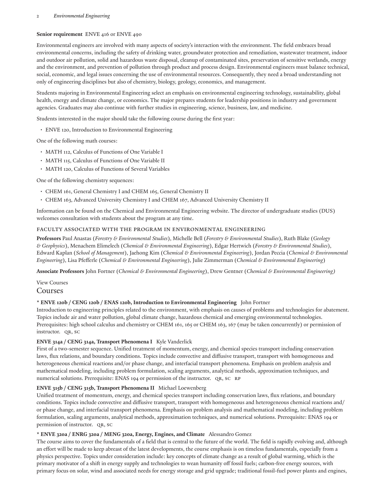## 2 *Environmental Engineering*

# **Senior requirement** ENVE 416 or ENVE 490

Environmental engineers are involved with many aspects of society's interaction with the environment. The field embraces broad environmental concerns, including the safety of drinking water, groundwater protection and remediation, wastewater treatment, indoor and outdoor air pollution, solid and hazardous waste disposal, cleanup of contaminated sites, preservation of sensitive wetlands, energy and the environment, and prevention of pollution through product and process design. Environmental engineers must balance technical, social, economic, and legal issues concerning the use of environmental resources. Consequently, they need a broad understanding not only of engineering disciplines but also of chemistry, biology, geology, economics, and management.

Students majoring in Environmental Engineering select an emphasis on environmental engineering technology, sustainability, global health, energy and climate change, or economics. The major prepares students for leadership positions in industry and government agencies. Graduates may also continue with further studies in engineering, science, business, law, and medicine.

Students interested in the major should take the following course during the first year:

• ENVE 120, Introduction to Environmental Engineering

One of the following math courses:

- MATH 112, Calculus of Functions of One Variable I
- MATH 115, Calculus of Functions of One Variable II
- MATH 120, Calculus of Functions of Several Variables

One of the following chemistry sequences:

- CHEM 161, General Chemistry I and CHEM 165, General Chemistry II
- CHEM 163, Advanced University Chemistry I and CHEM 167, Advanced University Chemistry II

Information can be found on the Chemical and [Environmental](http://seas.yale.edu/departments/chemical-and-environmental-engineering/) Engineering website. The director of undergraduate studies (DUS) welcomes consultation with students about the program at any time.

## FACULTY ASSOCIATED WITH THE PROGRAM IN ENVIRONMENTAL ENGINEERING

**Professors** Paul Anastas (*Forestry & Environmental Studies*), Michelle Bell (*Forestry & Environmental Studies*), Ruth Blake (*Geology & Geophysics*), Menachem Elimelech (*Chemical & Environmental Engineering*), Edgar Hertwich (*Forestry & Environmental Studies*), Edward Kaplan (*School of Management*), Jaehong Kim (*Chemical & Environmental Engineering*), Jordan Peccia (*Chemical & Environmental Engineering*), Lisa Pfefferle (*Chemical & Environmental Engineering*), Julie Zimmerman (*Chemical & Environmental Engineering*)

**Associate Professors** John Fortner (*Chemical & Environmental Engineering*), Drew Gentner (*Chemical & Environmental Engineering)*

View [Courses](https://courses.yale.edu/?srcdb=guide2022&subject=ENVE&col=YC)

Courses

# **\* ENVE 120b / CENG 120b / ENAS 120b, Introduction to Environmental Engineering** John Fortner

Introduction to engineering principles related to the environment, with emphasis on causes of problems and technologies for abatement. Topics include air and water pollution, global climate change, hazardous chemical and emerging environmental technologies. Prerequisites: high school calculus and chemistry or CHEM 161, 165 or CHEM 163, 167 (may be taken concurrently) or permission of instructor. QR, SC

# **ENVE 314a / CENG 314a, Transport Phenomena I** Kyle Vanderlick

First of a two-semester sequence. Unified treatment of momentum, energy, and chemical species transport including conservation laws, flux relations, and boundary conditions. Topics include convective and diffusive transport, transport with homogeneous and heterogeneous chemical reactions and/or phase change, and interfacial transport phenomena. Emphasis on problem analysis and mathematical modeling, including problem formulation, scaling arguments, analytical methods, approximation techniques, and numerical solutions. Prerequisite: ENAS 194 or permission of the instructor. QR, SC RP

# **ENVE 315b / CENG 315b, Transport Phenomena II** Michael Loewenberg

Unified treatment of momentum, energy, and chemical species transport including conservation laws, flux relations, and boundary conditions. Topics include convective and diffusive transport, transport with homogeneous and heterogeneous chemical reactions and/ or phase change, and interfacial transport phenomena. Emphasis on problem analysis and mathematical modeling, including problem formulation, scaling arguments, analytical methods, approximation techniques, and numerical solutions. Prerequisite: ENAS 194 or permission of instructor. QR, SC

# **\* ENVE 320a / ENRG 320a / MENG 320a, Energy, Engines, and Climate** Alessandro Gomez

The course aims to cover the fundamentals of a field that is central to the future of the world. The field is rapidly evolving and, although an effort will be made to keep abreast of the latest developments, the course emphasis is on timeless fundamentals, especially from a physics perspective. Topics under consideration include: key concepts of climate change as a result of global warming, which is the primary motivator of a shift in energy supply and technologies to wean humanity off fossil fuels; carbon-free energy sources, with primary focus on solar, wind and associated needs for energy storage and grid upgrade; traditional fossil-fuel power plants and engines,